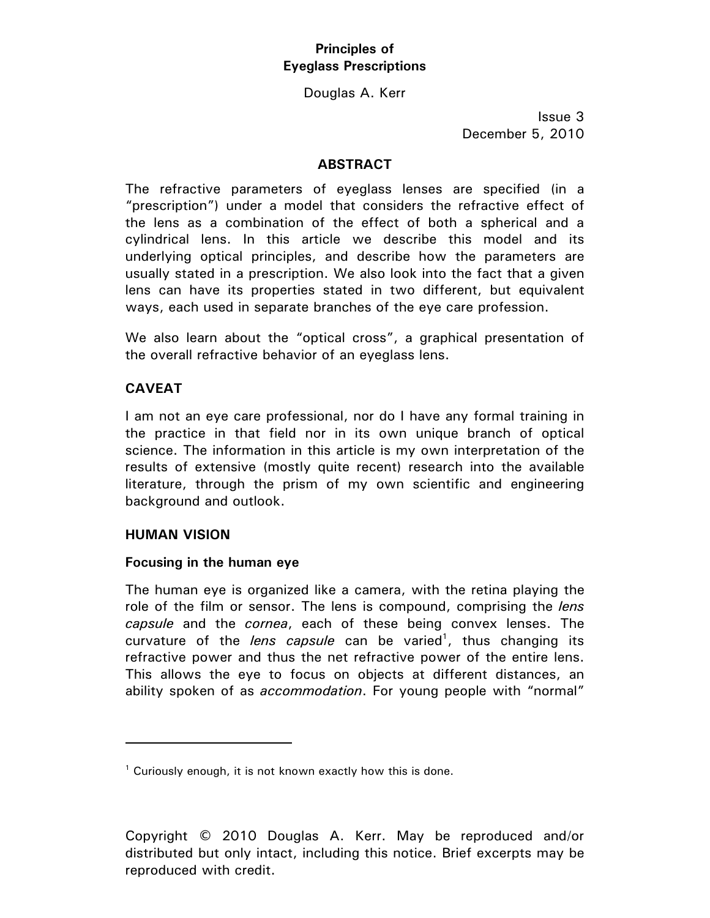## **Principles of Eyeglass Prescriptions**

Douglas A. Kerr

Issue 3 December 5, 2010

### **ABSTRACT**

The refractive parameters of eyeglass lenses are specified (in a "prescription") under a model that considers the refractive effect of the lens as a combination of the effect of both a spherical and a cylindrical lens. In this article we describe this model and its underlying optical principles, and describe how the parameters are usually stated in a prescription. We also look into the fact that a given lens can have its properties stated in two different, but equivalent ways, each used in separate branches of the eye care profession.

We also learn about the "optical cross", a graphical presentation of the overall refractive behavior of an eyeglass lens.

## **CAVEAT**

I am not an eye care professional, nor do I have any formal training in the practice in that field nor in its own unique branch of optical science. The information in this article is my own interpretation of the results of extensive (mostly quite recent) research into the available literature, through the prism of my own scientific and engineering background and outlook.

#### **HUMAN VISION**

 $\overline{a}$ 

#### **Focusing in the human eye**

The human eye is organized like a camera, with the retina playing the role of the film or sensor. The lens is compound, comprising the *lens capsule* and the *cornea*, each of these being convex lenses. The curvature of the *lens capsule* can be varied<sup>1</sup>, thus changing its refractive power and thus the net refractive power of the entire lens. This allows the eye to focus on objects at different distances, an ability spoken of as *accommodation*. For young people with "normal"

 $1$  Curiously enough, it is not known exactly how this is done.

Copyright © 2010 Douglas A. Kerr. May be reproduced and/or distributed but only intact, including this notice. Brief excerpts may be reproduced with credit.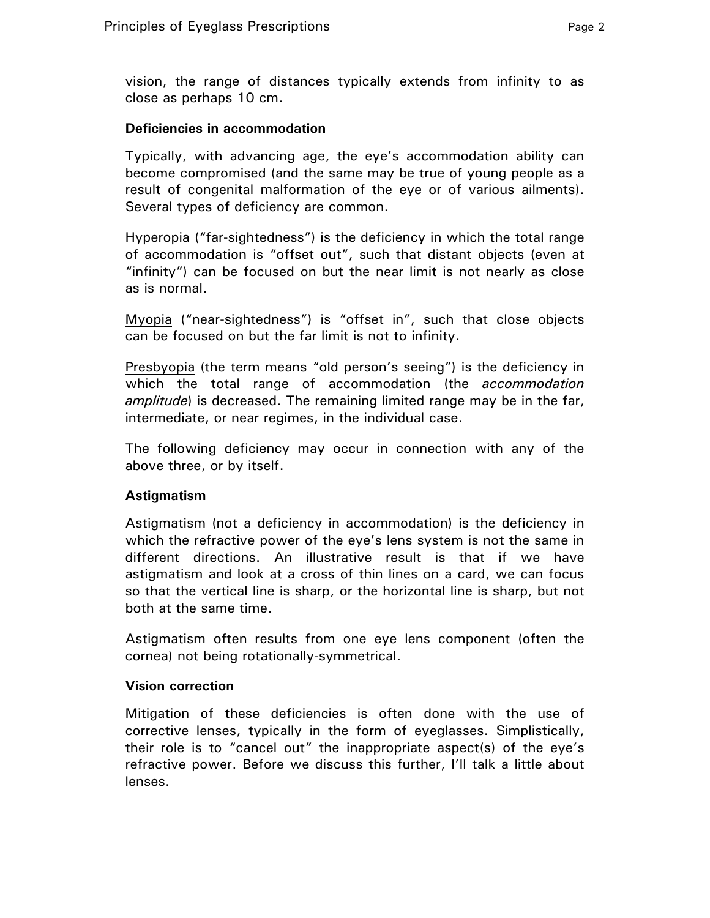vision, the range of distances typically extends from infinity to as close as perhaps 10 cm.

### **Deficiencies in accommodation**

Typically, with advancing age, the eye's accommodation ability can become compromised (and the same may be true of young people as a result of congenital malformation of the eye or of various ailments). Several types of deficiency are common.

Hyperopia ("far-sightedness") is the deficiency in which the total range of accommodation is "offset out", such that distant objects (even at "infinity") can be focused on but the near limit is not nearly as close as is normal.

Myopia ("near-sightedness") is "offset in", such that close objects can be focused on but the far limit is not to infinity.

Presbyopia (the term means "old person's seeing") is the deficiency in which the total range of accommodation (the *accommodation amplitude*) is decreased. The remaining limited range may be in the far, intermediate, or near regimes, in the individual case.

The following deficiency may occur in connection with any of the above three, or by itself.

## **Astigmatism**

Astigmatism (not a deficiency in accommodation) is the deficiency in which the refractive power of the eye's lens system is not the same in different directions. An illustrative result is that if we have astigmatism and look at a cross of thin lines on a card, we can focus so that the vertical line is sharp, or the horizontal line is sharp, but not both at the same time.

Astigmatism often results from one eye lens component (often the cornea) not being rotationally-symmetrical.

#### **Vision correction**

Mitigation of these deficiencies is often done with the use of corrective lenses, typically in the form of eyeglasses. Simplistically, their role is to "cancel out" the inappropriate aspect(s) of the eye's refractive power. Before we discuss this further, I'll talk a little about lenses.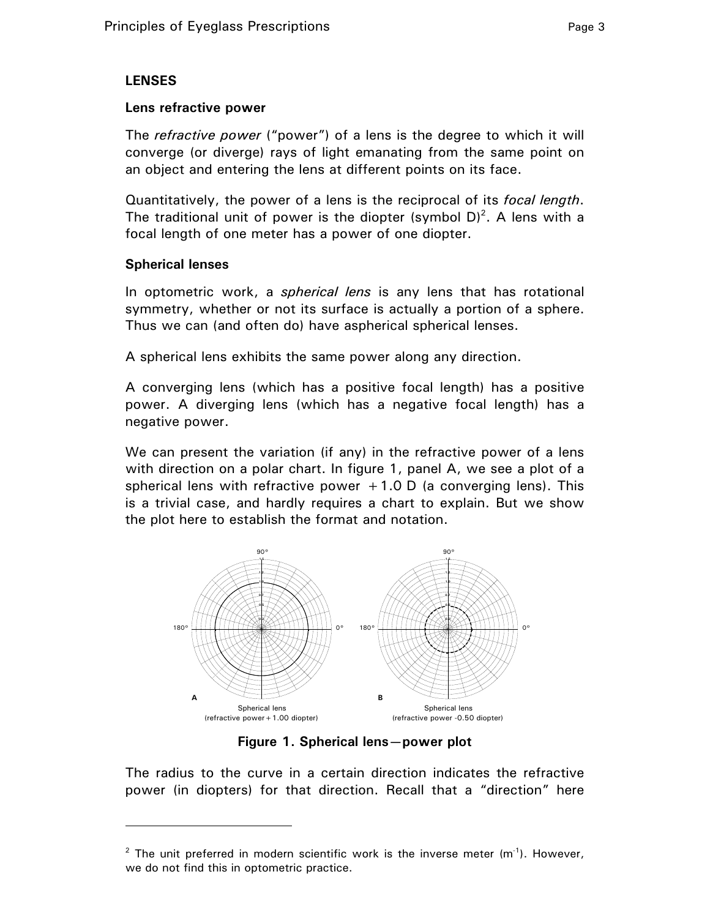## **LENSES**

### **Lens refractive power**

The *refractive power* ("power") of a lens is the degree to which it will converge (or diverge) rays of light emanating from the same point on an object and entering the lens at different points on its face.

Quantitatively, the power of a lens is the reciprocal of its *focal length*. The traditional unit of power is the diopter (symbol  $D$ )<sup>2</sup>. A lens with a focal length of one meter has a power of one diopter.

### **Spherical lenses**

 $\overline{a}$ 

In optometric work, a *spherical lens* is any lens that has rotational symmetry, whether or not its surface is actually a portion of a sphere. Thus we can (and often do) have aspherical spherical lenses.

A spherical lens exhibits the same power along any direction.

A converging lens (which has a positive focal length) has a positive power. A diverging lens (which has a negative focal length) has a negative power.

We can present the variation (if any) in the refractive power of a lens with direction on a polar chart. In figure 1, panel A, we see a plot of a spherical lens with refractive power  $+1.0$  D (a converging lens). This is a trivial case, and hardly requires a chart to explain. But we show the plot here to establish the format and notation.



**Figure 1. Spherical lens—power plot** 

The radius to the curve in a certain direction indicates the refractive power (in diopters) for that direction. Recall that a "direction" here

 $2$  The unit preferred in modern scientific work is the inverse meter (m<sup>-1</sup>). However, we do not find this in optometric practice.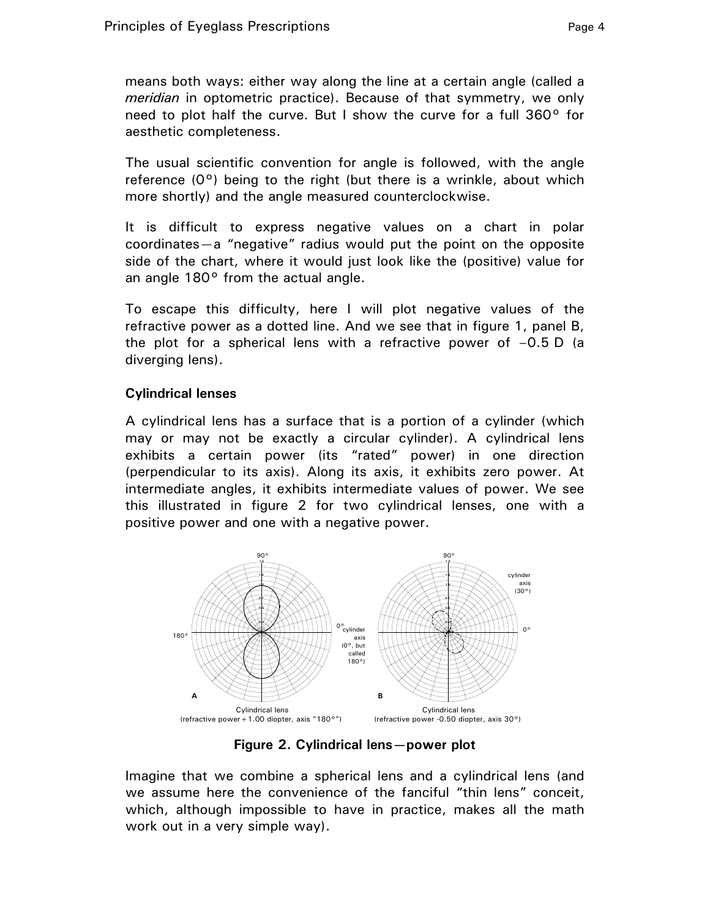means both ways: either way along the line at a certain angle (called a *meridian* in optometric practice). Because of that symmetry, we only need to plot half the curve. But I show the curve for a full 360° for aesthetic completeness.

The usual scientific convention for angle is followed, with the angle reference  $(0^{\circ})$  being to the right (but there is a wrinkle, about which more shortly) and the angle measured counterclockwise.

It is difficult to express negative values on a chart in polar coordinates—a "negative" radius would put the point on the opposite side of the chart, where it would just look like the (positive) value for an angle 180° from the actual angle.

To escape this difficulty, here I will plot negative values of the refractive power as a dotted line. And we see that in figure 1, panel B, the plot for a spherical lens with a refractive power of –0.5 D (a diverging lens).

## **Cylindrical lenses**

A cylindrical lens has a surface that is a portion of a cylinder (which may or may not be exactly a circular cylinder). A cylindrical lens exhibits a certain power (its "rated" power) in one direction (perpendicular to its axis). Along its axis, it exhibits zero power. At intermediate angles, it exhibits intermediate values of power. We see this illustrated in figure 2 for two cylindrical lenses, one with a positive power and one with a negative power.



**Figure 2. Cylindrical lens—power plot** 

Imagine that we combine a spherical lens and a cylindrical lens (and we assume here the convenience of the fanciful "thin lens" conceit, which, although impossible to have in practice, makes all the math work out in a very simple way).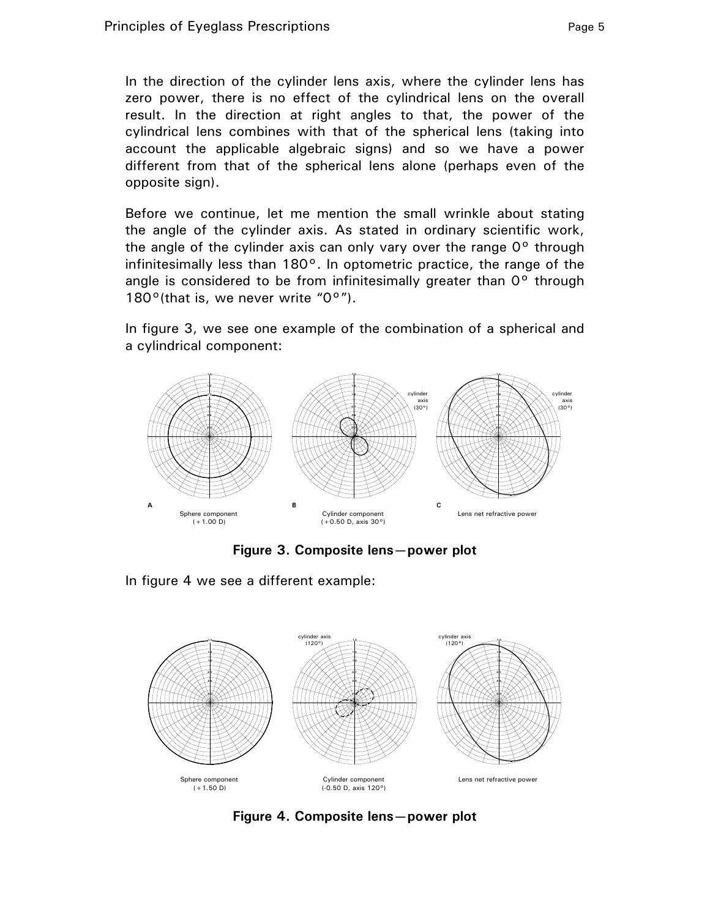In the direction of the cylinder lens axis, where the cylinder lens has zero power, there is no effect of the cylindrical lens on the overall result. In the direction at right angles to that, the power of the cylindrical lens combines with that of the spherical lens (taking into account the applicable algebraic signs) and so we have a power different from that of the spherical lens alone (perhaps even of the opposite sign).

Before we continue, let me mention the small wrinkle about stating the angle of the cylinder axis. As stated in ordinary scientific work, the angle of the cylinder axis can only vary over the range  $0^{\circ}$  through infinitesimally less than 180°. In optometric practice, the range of the angle is considered to be from infinitesimally greater than 0° through 180 $\degree$ (that is, we never write "0 $\degree$ ").

In figure 3, we see one example of the combination of a spherical and a cylindrical component:



**Figure 3. Composite lens—power plot** 

In figure 4 we see a different example:



**Figure 4. Composite lens—power plot**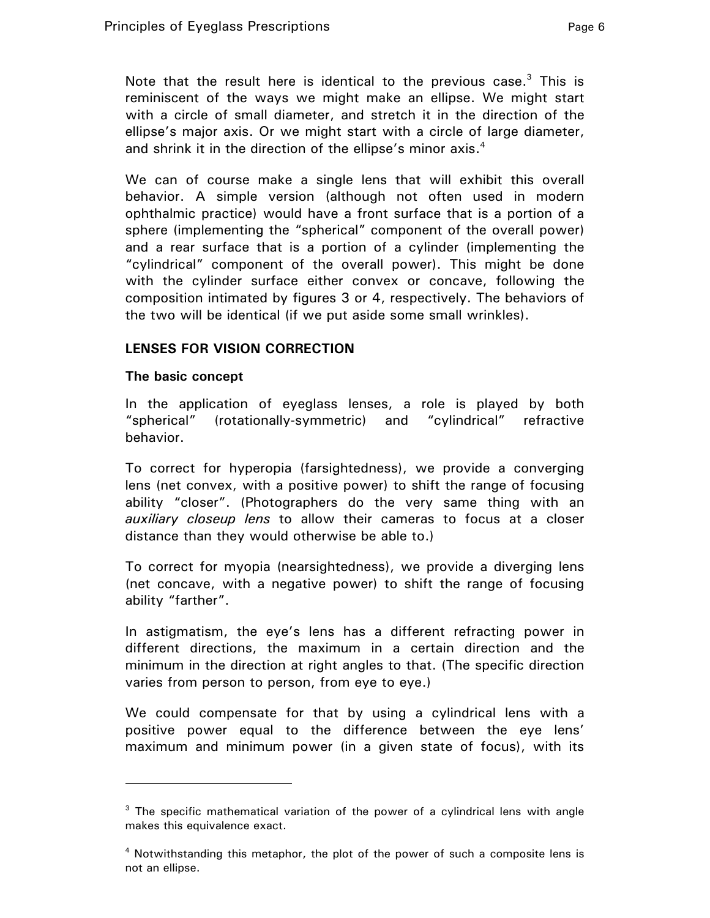Note that the result here is identical to the previous case. $3$  This is reminiscent of the ways we might make an ellipse. We might start with a circle of small diameter, and stretch it in the direction of the ellipse's major axis. Or we might start with a circle of large diameter, and shrink it in the direction of the ellipse's minor axis.<sup>4</sup>

We can of course make a single lens that will exhibit this overall behavior. A simple version (although not often used in modern ophthalmic practice) would have a front surface that is a portion of a sphere (implementing the "spherical" component of the overall power) and a rear surface that is a portion of a cylinder (implementing the "cylindrical" component of the overall power). This might be done with the cylinder surface either convex or concave, following the composition intimated by figures 3 or 4, respectively. The behaviors of the two will be identical (if we put aside some small wrinkles).

## **LENSES FOR VISION CORRECTION**

#### **The basic concept**

 $\overline{a}$ 

In the application of eyeglass lenses, a role is played by both "spherical" (rotationally-symmetric) and "cylindrical" refractive behavior.

To correct for hyperopia (farsightedness), we provide a converging lens (net convex, with a positive power) to shift the range of focusing ability "closer". (Photographers do the very same thing with an *auxiliary closeup lens* to allow their cameras to focus at a closer distance than they would otherwise be able to.)

To correct for myopia (nearsightedness), we provide a diverging lens (net concave, with a negative power) to shift the range of focusing ability "farther".

In astigmatism, the eye's lens has a different refracting power in different directions, the maximum in a certain direction and the minimum in the direction at right angles to that. (The specific direction varies from person to person, from eye to eye.)

We could compensate for that by using a cylindrical lens with a positive power equal to the difference between the eye lens' maximum and minimum power (in a given state of focus), with its

<sup>&</sup>lt;sup>3</sup> The specific mathematical variation of the power of a cylindrical lens with angle makes this equivalence exact.

<sup>&</sup>lt;sup>4</sup> Notwithstanding this metaphor, the plot of the power of such a composite lens is not an ellipse.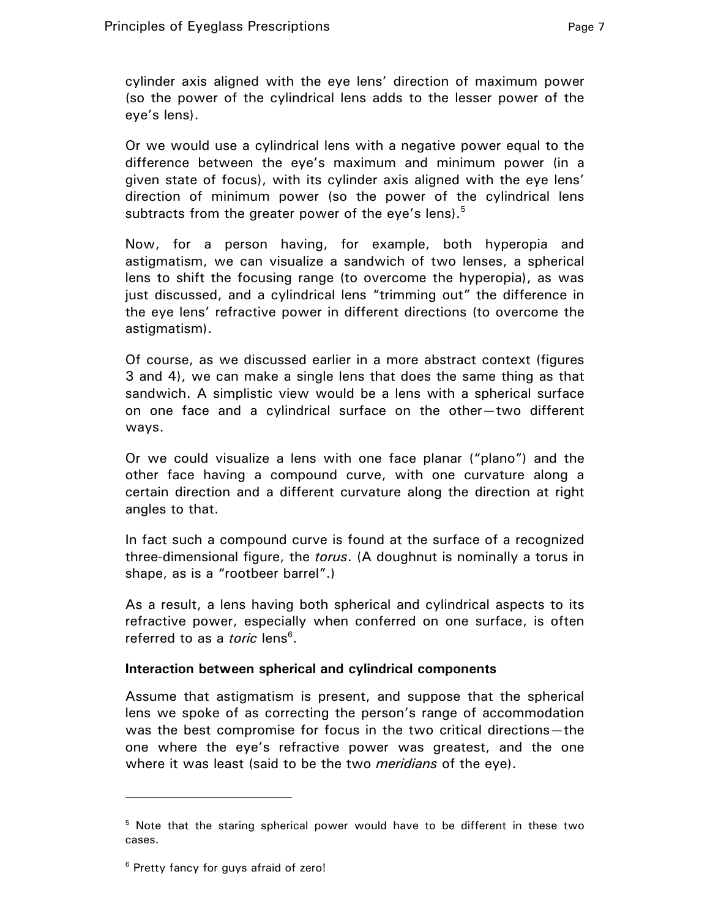cylinder axis aligned with the eye lens' direction of maximum power (so the power of the cylindrical lens adds to the lesser power of the eye's lens).

Or we would use a cylindrical lens with a negative power equal to the difference between the eye's maximum and minimum power (in a given state of focus), with its cylinder axis aligned with the eye lens' direction of minimum power (so the power of the cylindrical lens subtracts from the greater power of the eye's lens). $5$ 

Now, for a person having, for example, both hyperopia and astigmatism, we can visualize a sandwich of two lenses, a spherical lens to shift the focusing range (to overcome the hyperopia), as was just discussed, and a cylindrical lens "trimming out" the difference in the eye lens' refractive power in different directions (to overcome the astigmatism).

Of course, as we discussed earlier in a more abstract context (figures 3 and 4), we can make a single lens that does the same thing as that sandwich. A simplistic view would be a lens with a spherical surface on one face and a cylindrical surface on the other—two different ways.

Or we could visualize a lens with one face planar ("plano") and the other face having a compound curve, with one curvature along a certain direction and a different curvature along the direction at right angles to that.

In fact such a compound curve is found at the surface of a recognized three-dimensional figure, the *torus*. (A doughnut is nominally a torus in shape, as is a "rootbeer barrel".)

As a result, a lens having both spherical and cylindrical aspects to its refractive power, especially when conferred on one surface, is often referred to as a *toric* lens<sup>6</sup>.

#### **Interaction between spherical and cylindrical components**

Assume that astigmatism is present, and suppose that the spherical lens we spoke of as correcting the person's range of accommodation was the best compromise for focus in the two critical directions—the one where the eye's refractive power was greatest, and the one where it was least (said to be the two *meridians* of the eye).

 $\overline{a}$ 

<sup>&</sup>lt;sup>5</sup> Note that the staring spherical power would have to be different in these two cases.

<sup>&</sup>lt;sup>6</sup> Pretty fancy for guys afraid of zero!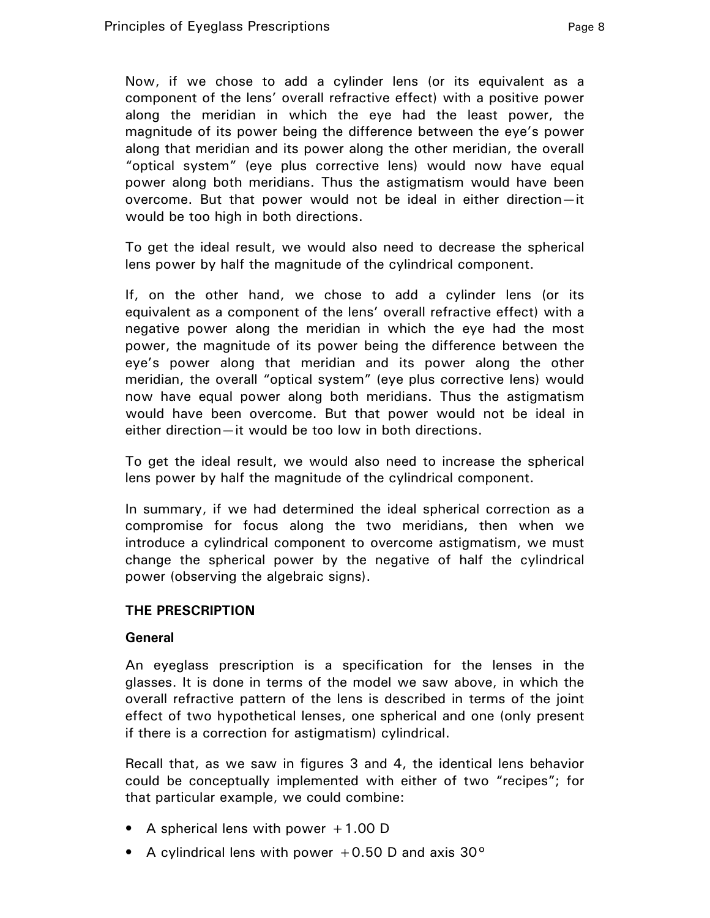Now, if we chose to add a cylinder lens (or its equivalent as a component of the lens' overall refractive effect) with a positive power along the meridian in which the eye had the least power, the magnitude of its power being the difference between the eye's power along that meridian and its power along the other meridian, the overall "optical system" (eye plus corrective lens) would now have equal power along both meridians. Thus the astigmatism would have been overcome. But that power would not be ideal in either direction—it would be too high in both directions.

To get the ideal result, we would also need to decrease the spherical lens power by half the magnitude of the cylindrical component.

If, on the other hand, we chose to add a cylinder lens (or its equivalent as a component of the lens' overall refractive effect) with a negative power along the meridian in which the eye had the most power, the magnitude of its power being the difference between the eye's power along that meridian and its power along the other meridian, the overall "optical system" (eye plus corrective lens) would now have equal power along both meridians. Thus the astigmatism would have been overcome. But that power would not be ideal in either direction—it would be too low in both directions.

To get the ideal result, we would also need to increase the spherical lens power by half the magnitude of the cylindrical component.

In summary, if we had determined the ideal spherical correction as a compromise for focus along the two meridians, then when we introduce a cylindrical component to overcome astigmatism, we must change the spherical power by the negative of half the cylindrical power (observing the algebraic signs).

## **THE PRESCRIPTION**

#### **General**

An eyeglass prescription is a specification for the lenses in the glasses. It is done in terms of the model we saw above, in which the overall refractive pattern of the lens is described in terms of the joint effect of two hypothetical lenses, one spherical and one (only present if there is a correction for astigmatism) cylindrical.

Recall that, as we saw in figures 3 and 4, the identical lens behavior could be conceptually implemented with either of two "recipes"; for that particular example, we could combine:

- A spherical lens with power  $+1.00$  D
- A cylindrical lens with power  $+0.50$  D and axis 30 $^{\circ}$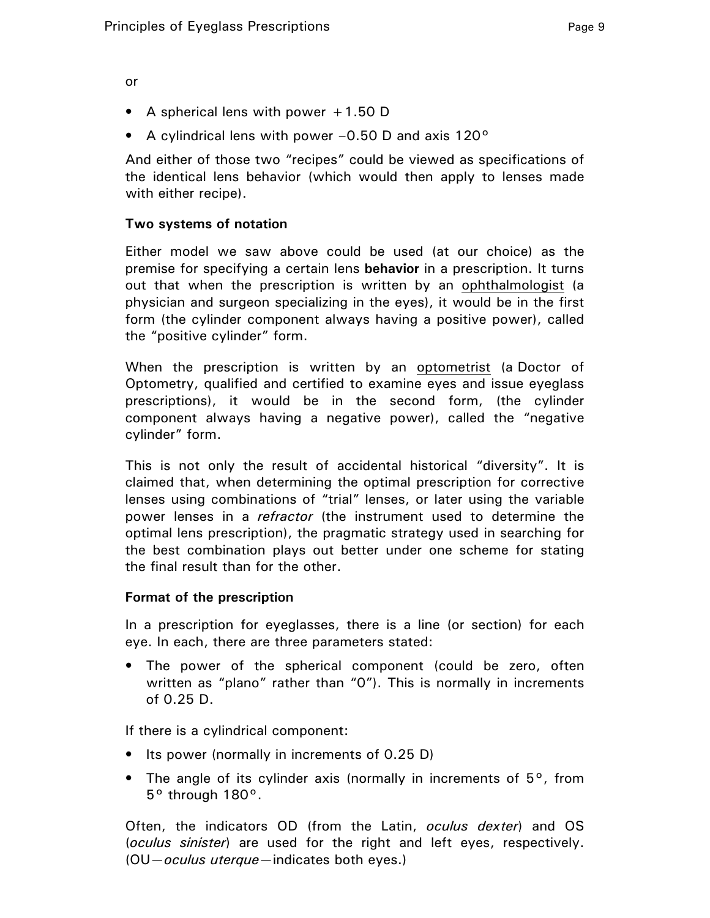or

- A spherical lens with power  $+1.50$  D
- A cylindrical lens with power –0.50 D and axis 120°

And either of those two "recipes" could be viewed as specifications of the identical lens behavior (which would then apply to lenses made with either recipe).

## **Two systems of notation**

Either model we saw above could be used (at our choice) as the premise for specifying a certain lens **behavior** in a prescription. It turns out that when the prescription is written by an ophthalmologist (a physician and surgeon specializing in the eyes), it would be in the first form (the cylinder component always having a positive power), called the "positive cylinder" form.

When the prescription is written by an optometrist (a Doctor of Optometry, qualified and certified to examine eyes and issue eyeglass prescriptions), it would be in the second form, (the cylinder component always having a negative power), called the "negative cylinder" form.

This is not only the result of accidental historical "diversity". It is claimed that, when determining the optimal prescription for corrective lenses using combinations of "trial" lenses, or later using the variable power lenses in a *refractor* (the instrument used to determine the optimal lens prescription), the pragmatic strategy used in searching for the best combination plays out better under one scheme for stating the final result than for the other.

#### **Format of the prescription**

In a prescription for eyeglasses, there is a line (or section) for each eye. In each, there are three parameters stated:

• The power of the spherical component (could be zero, often written as "plano" rather than "0"). This is normally in increments of 0.25 D.

If there is a cylindrical component:

- Its power (normally in increments of 0.25 D)
- The angle of its cylinder axis (normally in increments of  $5^\circ$ , from 5° through 180°.

Often, the indicators OD (from the Latin, *oculus dexter*) and OS (*oculus sinister*) are used for the right and left eyes, respectively. (OU—*oculus uterque*—indicates both eyes.)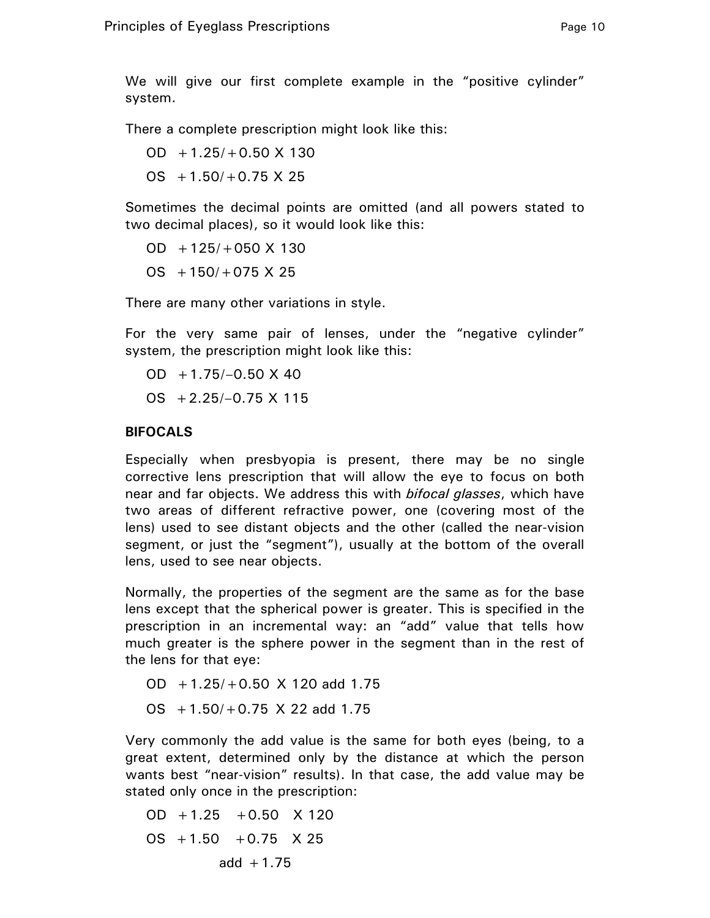We will give our first complete example in the "positive cylinder" system.

There a complete prescription might look like this:

 $OD + 1.25/ + 0.50 \times 130$ OS  $+1.50/+0.75$  X 25

Sometimes the decimal points are omitted (and all powers stated to two decimal places), so it would look like this:

 $OD + 125/ + 050 X 130$  $OS + 150/ + 075$  X 25

There are many other variations in style.

For the very same pair of lenses, under the "negative cylinder" system, the prescription might look like this:

 $OD + 1.75/-0.50 \times 40$ OS  $+2.25/-0.75$  X 115

# **BIFOCALS**

Especially when presbyopia is present, there may be no single corrective lens prescription that will allow the eye to focus on both near and far objects. We address this with *bifocal glasses*, which have two areas of different refractive power, one (covering most of the lens) used to see distant objects and the other (called the near-vision segment, or just the "segment"), usually at the bottom of the overall lens, used to see near objects.

Normally, the properties of the segment are the same as for the base lens except that the spherical power is greater. This is specified in the prescription in an incremental way: an "add" value that tells how much greater is the sphere power in the segment than in the rest of the lens for that eye:

OD +1.25/+0.50 X 120 add 1.75  $OS + 1.50/ + 0.75$  X 22 add 1.75

Very commonly the add value is the same for both eyes (being, to a great extent, determined only by the distance at which the person wants best "near-vision" results). In that case, the add value may be stated only once in the prescription:

 $OD +1.25 +0.50 \times 120$  $OS +1.50 +0.75$  X 25 add  $+1.75$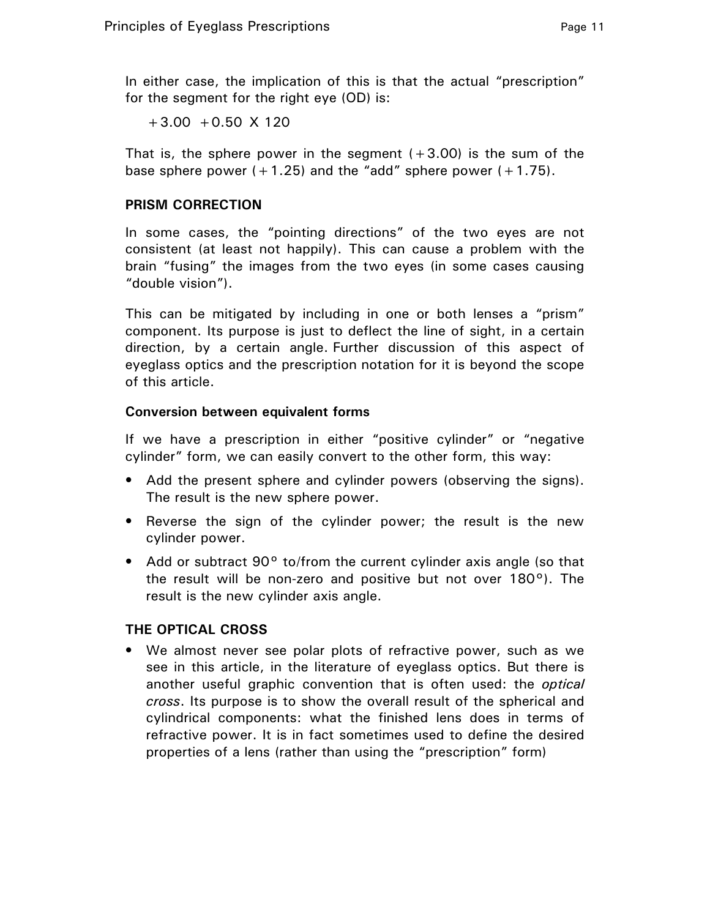In either case, the implication of this is that the actual "prescription" for the segment for the right eye (OD) is:

 $+3.00 + 0.50 \times 120$ 

That is, the sphere power in the segment  $(+3.00)$  is the sum of the base sphere power  $(+1.25)$  and the "add" sphere power  $(+1.75)$ .

## **PRISM CORRECTION**

In some cases, the "pointing directions" of the two eyes are not consistent (at least not happily). This can cause a problem with the brain "fusing" the images from the two eyes (in some cases causing "double vision").

This can be mitigated by including in one or both lenses a "prism" component. Its purpose is just to deflect the line of sight, in a certain direction, by a certain angle. Further discussion of this aspect of eyeglass optics and the prescription notation for it is beyond the scope of this article.

# **Conversion between equivalent forms**

If we have a prescription in either "positive cylinder" or "negative cylinder" form, we can easily convert to the other form, this way:

- Add the present sphere and cylinder powers (observing the signs). The result is the new sphere power.
- Reverse the sign of the cylinder power; the result is the new cylinder power.
- Add or subtract 90° to/from the current cylinder axis angle (so that the result will be non-zero and positive but not over 180°). The result is the new cylinder axis angle.

# **THE OPTICAL CROSS**

• We almost never see polar plots of refractive power, such as we see in this article, in the literature of eyeglass optics. But there is another useful graphic convention that is often used: the *optical cross*. Its purpose is to show the overall result of the spherical and cylindrical components: what the finished lens does in terms of refractive power. It is in fact sometimes used to define the desired properties of a lens (rather than using the "prescription" form)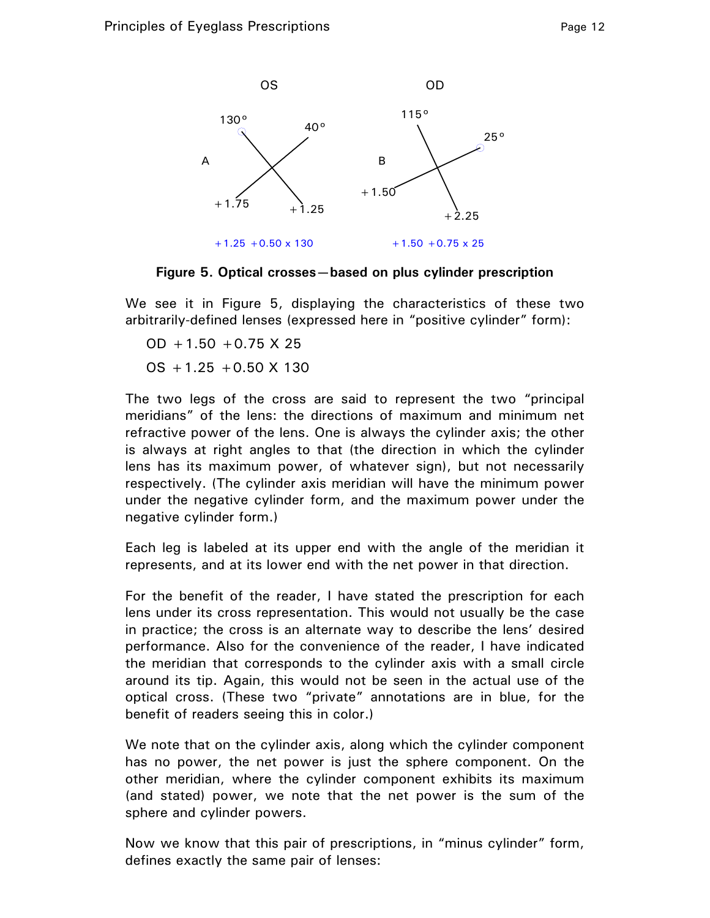

 $+1.25 +0.50 \times 130$   $+1.50 +0.75 \times 25$ 

**Figure 5. Optical crosses—based on plus cylinder prescription** 

We see it in Figure 5, displaying the characteristics of these two arbitrarily-defined lenses (expressed here in "positive cylinder" form):

 $OD + 1.50 + 0.75 \times 25$  $OS + 1.25 + 0.50 \times 130$ 

The two legs of the cross are said to represent the two "principal meridians" of the lens: the directions of maximum and minimum net refractive power of the lens. One is always the cylinder axis; the other is always at right angles to that (the direction in which the cylinder lens has its maximum power, of whatever sign), but not necessarily respectively. (The cylinder axis meridian will have the minimum power under the negative cylinder form, and the maximum power under the negative cylinder form.)

Each leg is labeled at its upper end with the angle of the meridian it represents, and at its lower end with the net power in that direction.

For the benefit of the reader, I have stated the prescription for each lens under its cross representation. This would not usually be the case in practice; the cross is an alternate way to describe the lens' desired performance. Also for the convenience of the reader, I have indicated the meridian that corresponds to the cylinder axis with a small circle around its tip. Again, this would not be seen in the actual use of the optical cross. (These two "private" annotations are in blue, for the benefit of readers seeing this in color.)

We note that on the cylinder axis, along which the cylinder component has no power, the net power is just the sphere component. On the other meridian, where the cylinder component exhibits its maximum (and stated) power, we note that the net power is the sum of the sphere and cylinder powers.

Now we know that this pair of prescriptions, in "minus cylinder" form, defines exactly the same pair of lenses: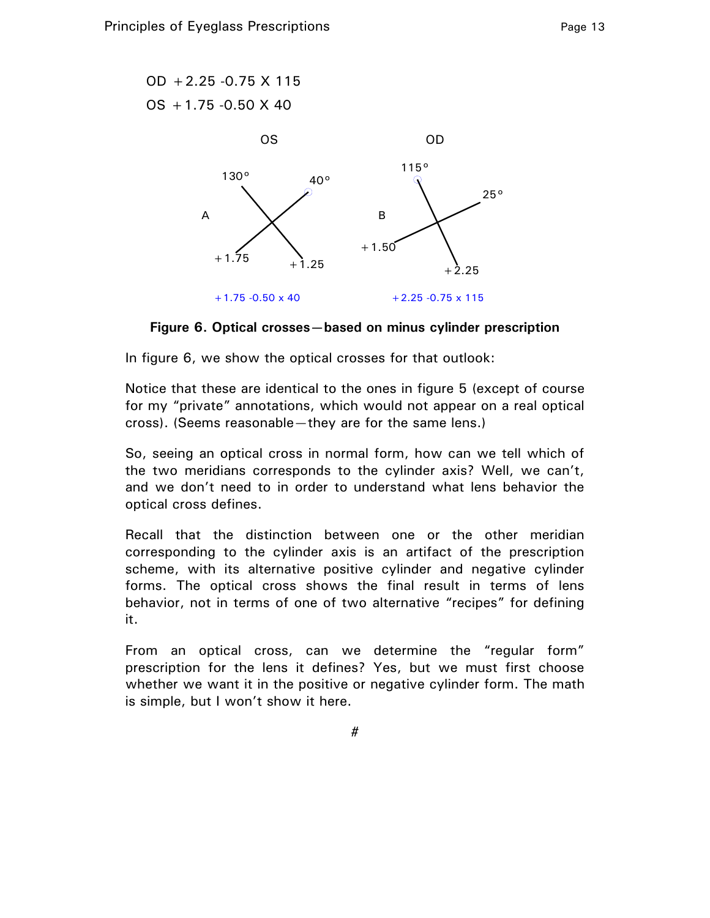

**Figure 6. Optical crosses—based on minus cylinder prescription** 

In figure 6, we show the optical crosses for that outlook:

Notice that these are identical to the ones in figure 5 (except of course for my "private" annotations, which would not appear on a real optical cross). (Seems reasonable—they are for the same lens.)

So, seeing an optical cross in normal form, how can we tell which of the two meridians corresponds to the cylinder axis? Well, we can't, and we don't need to in order to understand what lens behavior the optical cross defines.

Recall that the distinction between one or the other meridian corresponding to the cylinder axis is an artifact of the prescription scheme, with its alternative positive cylinder and negative cylinder forms. The optical cross shows the final result in terms of lens behavior, not in terms of one of two alternative "recipes" for defining it.

From an optical cross, can we determine the "regular form" prescription for the lens it defines? Yes, but we must first choose whether we want it in the positive or negative cylinder form. The math is simple, but I won't show it here.

#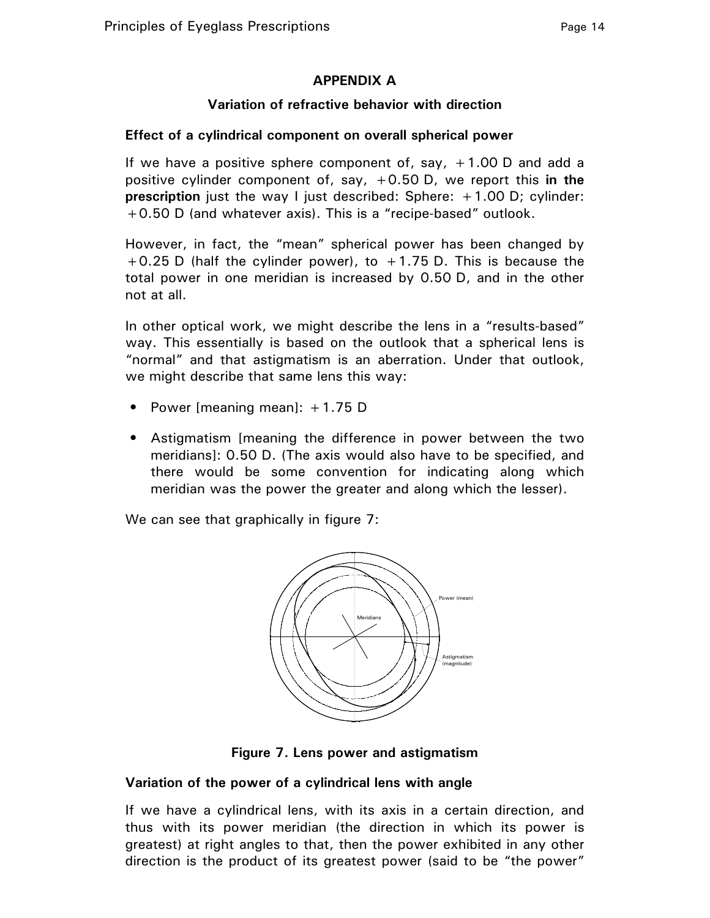# **APPENDIX A**

## **Variation of refractive behavior with direction**

### **Effect of a cylindrical component on overall spherical power**

If we have a positive sphere component of, say, +1.00 D and add a positive cylinder component of, say, +0.50 D, we report this **in the prescription** just the way I just described: Sphere: +1.00 D; cylinder: +0.50 D (and whatever axis). This is a "recipe-based" outlook.

However, in fact, the "mean" spherical power has been changed by  $+0.25$  D (half the cylinder power), to  $+1.75$  D. This is because the total power in one meridian is increased by 0.50 D, and in the other not at all.

In other optical work, we might describe the lens in a "results-based" way. This essentially is based on the outlook that a spherical lens is "normal" and that astigmatism is an aberration. Under that outlook, we might describe that same lens this way:

- Power [meaning mean]: +1.75 D
- Astigmatism [meaning the difference in power between the two meridians]: 0.50 D. (The axis would also have to be specified, and there would be some convention for indicating along which meridian was the power the greater and along which the lesser).

We can see that graphically in figure 7:





## **Variation of the power of a cylindrical lens with angle**

If we have a cylindrical lens, with its axis in a certain direction, and thus with its power meridian (the direction in which its power is greatest) at right angles to that, then the power exhibited in any other direction is the product of its greatest power (said to be "the power"